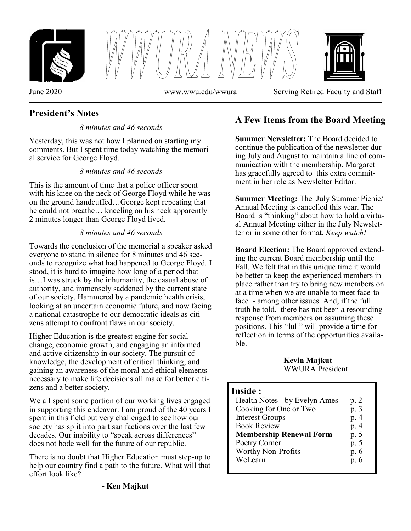





June 2020 www.wwu.edu/wwura Serving Retired Faculty and Staff

# **President's Notes**

*8 minutes and 46 seconds* 

Yesterday, this was not how I planned on starting my comments. But I spent time today watching the memorial service for George Floyd.

#### *8 minutes and 46 seconds*

This is the amount of time that a police officer spent with his knee on the neck of George Floyd while he was on the ground handcuffed…George kept repeating that he could not breathe… kneeling on his neck apparently 2 minutes longer than George Floyd lived.

#### *8 minutes and 46 seconds*

Towards the conclusion of the memorial a speaker asked everyone to stand in silence for 8 minutes and 46 seconds to recognize what had happened to George Floyd. I stood, it is hard to imagine how long of a period that is…I was struck by the inhumanity, the casual abuse of authority, and immensely saddened by the current state of our society. Hammered by a pandemic health crisis, looking at an uncertain economic future, and now facing a national catastrophe to our democratic ideals as citizens attempt to confront flaws in our society.

Higher Education is the greatest engine for social change, economic growth, and engaging an informed and active citizenship in our society. The pursuit of knowledge, the development of critical thinking, and gaining an awareness of the moral and ethical elements necessary to make life decisions all make for better citizens and a better society.

We all spent some portion of our working lives engaged in supporting this endeavor. I am proud of the 40 years I spent in this field but very challenged to see how our society has split into partisan factions over the last few decades. Our inability to "speak across differences" does not bode well for the future of our republic.

There is no doubt that Higher Education must step-up to help our country find a path to the future. What will that effort look like?

## **A Few Items from the Board Meeting**

**Summer Newsletter:** The Board decided to continue the publication of the newsletter during July and August to maintain a line of communication with the membership. Margaret has gracefully agreed to this extra commitment in her role as Newsletter Editor.

**Summer Meeting:** The July Summer Picnic/ Annual Meeting is cancelled this year. The Board is "thinking" about how to hold a virtual Annual Meeting either in the July Newsletter or in some other format. *Keep watch!* 

**Board Election:** The Board approved extending the current Board membership until the Fall. We felt that in this unique time it would be better to keep the experienced members in place rather than try to bring new members on at a time when we are unable to meet face-to face - among other issues. And, if the full truth be told, there has not been a resounding response from members on assuming these positions. This "lull" will provide a time for reflection in terms of the opportunities available.

> **Kevin Majkut** WWURA President

## **Inside :**

ֺֺ֖֚֝֬

| Health Notes - by Evelyn Ames  | p. 2 |
|--------------------------------|------|
| Cooking for One or Two         | p. 3 |
| <b>Interest Groups</b>         | p. 4 |
| <b>Book Review</b>             | p. 4 |
| <b>Membership Renewal Form</b> | p. 5 |
| Poetry Corner                  | p. 5 |
| Worthy Non-Profits             | p. 6 |
| WeLearn                        | p. 6 |
|                                |      |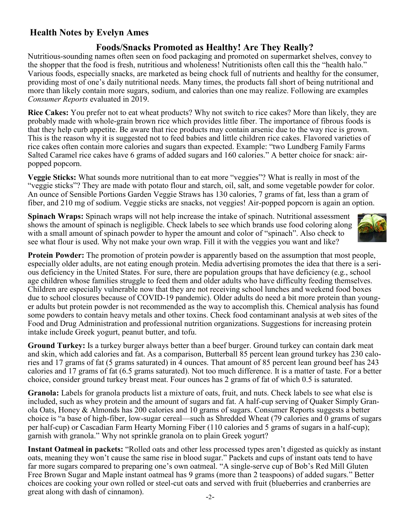# **Health Notes by Evelyn Ames**

# **Foods/Snacks Promoted as Healthy! Are They Really?**

Nutritious-sounding names often seen on food packaging and promoted on supermarket shelves, convey to the shopper that the food is fresh, nutritious and wholeness! Nutritionists often call this the "health halo." Various foods, especially snacks, are marketed as being chock full of nutrients and healthy for the consumer, providing most of one's daily nutritional needs. Many times, the products fall short of being nutritional and more than likely contain more sugars, sodium, and calories than one may realize. Following are examples *Consumer Reports* evaluated in 2019.

**Rice Cakes:** You prefer not to eat wheat products? Why not switch to rice cakes? More than likely, they are probably made with whole-grain brown rice which provides little fiber. The importance of fibrous foods is that they help curb appetite. Be aware that rice products may contain arsenic due to the way rice is grown. This is the reason why it is suggested not to feed babies and little children rice cakes. Flavored varieties of rice cakes often contain more calories and sugars than expected. Example: "two Lundberg Family Farms Salted Caramel rice cakes have 6 grams of added sugars and 160 calories." A better choice for snack: airpopped popcorn.

**Veggie Sticks:** What sounds more nutritional than to eat more "veggies"? What is really in most of the "veggie sticks"? They are made with potato flour and starch, oil, salt, and some vegetable powder for color. An ounce of Sensible Portions Garden Veggie Straws has 130 calories, 7 grams of fat, less than a gram of fiber, and 210 mg of sodium. Veggie sticks are snacks, not veggies! Air-popped popcorn is again an option.

**Spinach Wraps:** Spinach wraps will not help increase the intake of spinach. Nutritional assessment shows the amount of spinach is negligible. Check labels to see which brands use food coloring along with a small amount of spinach powder to hyper the amount and color of "spinach". Also check to see what flour is used. Why not make your own wrap. Fill it with the veggies you want and like?



**Protein Powder:** The promotion of protein powder is apparently based on the assumption that most people, especially older adults, are not eating enough protein. Media advertising promotes the idea that there is a serious deficiency in the United States. For sure, there are population groups that have deficiency (e.g., school age children whose families struggle to feed them and older adults who have difficulty feeding themselves. Children are especially vulnerable now that they are not receiving school lunches and weekend food boxes due to school closures because of COVID-19 pandemic). Older adults do need a bit more protein than younger adults but protein powder is not recommended as the way to accomplish this. Chemical analysis has found some powders to contain heavy metals and other toxins. Check food contaminant analysis at web sites of the Food and Drug Administration and professional nutrition organizations. Suggestions for increasing protein intake include Greek yogurt, peanut butter, and tofu.

**Ground Turkey:** Is a turkey burger always better than a beef burger. Ground turkey can contain dark meat and skin, which add calories and fat. As a comparison, Butterball 85 percent lean ground turkey has 230 calories and 17 grams of fat (5 grams saturated) in 4 ounces. That amount of 85 percent lean ground beef has 243 calories and 17 grams of fat (6.5 grams saturated). Not too much difference. It is a matter of taste. For a better choice, consider ground turkey breast meat. Four ounces has 2 grams of fat of which 0.5 is saturated.

**Granola:** Labels for granola products list a mixture of oats, fruit, and nuts. Check labels to see what else is included, such as whey protein and the amount of sugars and fat. A half-cup serving of Quaker Simply Granola Oats, Honey & Almonds has 200 calories and 10 grams of sugars. Consumer Reports suggests a better choice is "a base of high-fiber, low-sugar cereal—such as Shredded Wheat (79 calories and 0 grams of sugars per half-cup) or Cascadian Farm Hearty Morning Fiber (110 calories and 5 grams of sugars in a half-cup); garnish with granola." Why not sprinkle granola on to plain Greek yogurt?

**Instant Oatmeal in packets:** "Rolled oats and other less processed types aren't digested as quickly as instant oats, meaning they won't cause the same rise in blood sugar." Packets and cups of instant oats tend to have far more sugars compared to preparing one's own oatmeal. "A single-serve cup of Bob's Red Mill Gluten Free Brown Sugar and Maple instant oatmeal has 9 grams (more than 2 teaspoons) of added sugars." Better choices are cooking your own rolled or steel-cut oats and served with fruit (blueberries and cranberries are great along with dash of cinnamon).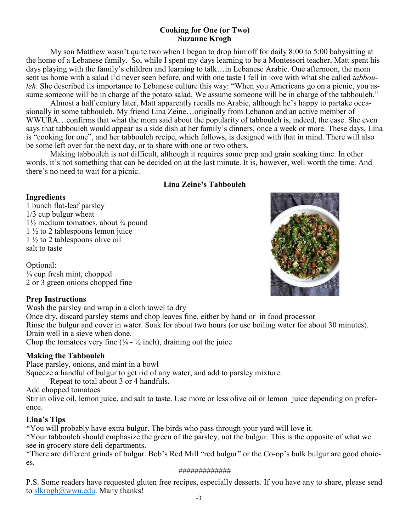#### **Cooking for One (or Two) Suzanne Krogh**

My son Matthew wasn't quite two when I began to drop him off for daily 8:00 to 5:00 babysitting at the home of a Lebanese family. So, while I spent my days learning to be a Montessori teacher, Matt spent his days playing with the family's children and learning to talk…in Lebanese Arabic. One afternoon, the mom sent us home with a salad I'd never seen before, and with one taste I fell in love with what she called *tabbouleh*. She described its importance to Lebanese culture this way: "When you Americans go on a picnic, you assume someone will be in charge of the potato salad. We assume someone will be in charge of the tabbouleh."

Almost a half century later, Matt apparently recalls no Arabic, although he's happy to partake occasionally in some tabbouleh. My friend Lina Zeine…originally from Lebanon and an active member of WWURA…confirms that what the mom said about the popularity of tabbouleh is, indeed, the case. She even says that tabbouleh would appear as a side dish at her family's dinners, once a week or more. These days, Lina is "cooking for one", and her tabbouleh recipe, which follows, is designed with that in mind. There will also be some left over for the next day, or to share with one or two others.

Making tabbouleh is not difficult, although it requires some prep and grain soaking time. In other words, it's not something that can be decided on at the last minute. It is, however, well worth the time. And there's no need to wait for a picnic.

#### **Lina Zeine's Tabbouleh**

#### **Ingredients**

1 bunch flat-leaf parsley 1/3 cup bulgur wheat  $1\frac{1}{2}$  medium tomatoes, about  $\frac{3}{4}$  pound 1 ½ to 2 tablespoons lemon juice 1 ½ to 2 tablespoons olive oil salt to taste

Optional:  $\frac{1}{4}$  cup fresh mint, chopped 2 or 3 green onions chopped fine



#### **Prep Instructions**

Wash the parsley and wrap in a cloth towel to dry

Once dry, discard parsley stems and chop leaves fine, either by hand or in food processor Rinse the bulgur and cover in water. Soak for about two hours (or use boiling water for about 30 minutes). Drain well in a sieve when done.

Chop the tomatoes very fine  $(\frac{1}{4} - \frac{1}{2})$  inch, draining out the juice

#### **Making the Tabbouleh**

Place parsley, onions, and mint in a bowl

Squeeze a handful of bulgur to get rid of any water, and add to parsley mixture.

Repeat to total about 3 or 4 handfuls.

Add chopped tomatoes

Stir in olive oil, lemon juice, and salt to taste. Use more or less olive oil or lemon juice depending on preference.

#### **Lina's Tips**

\*You will probably have extra bulgur. The birds who pass through your yard will love it.

\*Your tabbouleh should emphasize the green of the parsley, not the bulgur. This is the opposite of what we see in grocery store deli departments.

\*There are different grinds of bulgur. Bob's Red Mill "red bulgur" or the Co-op's bulk bulgur are good choices.

#### #############

P.S. Some readers have requested gluten free recipes, especially desserts. If you have any to share, please send to [slkrogh@wwu.edu.](mailto:slkrogh@wwu.edu) Many thanks!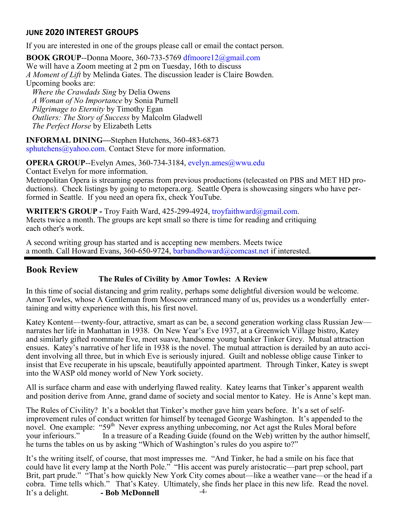## **JUNE 2020 INTEREST GROUPS**

If you are interested in one of the groups please call or email the contact person.

**BOOK GROUP**--Donna Moore, 360-733-5769 dfmoore12@gmail.com We will have a Zoom meeting at 2 pm on Tuesday, 16th to discuss *A Moment of Lift* by Melinda Gates. The discussion leader is Claire Bowden. Upcoming books are:  *Where the Crawdads Sing* by Delia Owens  *A Woman of No Importance* by Sonia Purnell  *Pilgrimage to Eternity* by Timothy Egan  *Outliers: The Story of Success* by Malcolm Gladwell

 *The Perfect Horse* by Elizabeth Letts

**INFORMAL DINING—**Stephen Hutchens, 360-483-6873 sphutchens@yahoo.com. Contact Steve for more information.

**OPERA GROUP--Evelyn Ames, 360-734-3184, evelyn.ames@wwu.edu** Contact Evelyn for more information.

Metropolitan Opera is streaming operas from previous productions (telecasted on PBS and MET HD productions). Check listings by going to metopera.org. Seattle Opera is showcasing singers who have performed in Seattle. If you need an opera fix, check YouTube.

**WRITER'S GROUP -** Troy Faith Ward, 425-299-4924, troyfaithward@gmail.com. Meets twice a month. The groups are kept small so there is time for reading and critiquing each other's work.

A second writing group has started and is accepting new members. Meets twice a month. Call Howard Evans,  $360-650-9724$ , barbandhoward@comcast.net if interested.

## **Book Review**

#### **The Rules of Civility by Amor Towles: A Review**

In this time of social distancing and grim reality, perhaps some delightful diversion would be welcome. Amor Towles, whose A Gentleman from Moscow entranced many of us, provides us a wonderfully entertaining and witty experience with this, his first novel.

Katey Kontent—twenty-four, attractive, smart as can be, a second generation working class Russian Jew narrates her life in Manhattan in 1938. On New Year's Eve 1937, at a Greenwich Village bistro, Katey and similarly gifted roommate Eve, meet suave, handsome young banker Tinker Grey. Mutual attraction ensues. Katey's narrative of her life in 1938 is the novel. The mutual attraction is derailed by an auto accident involving all three, but in which Eve is seriously injured. Guilt and noblesse oblige cause Tinker to insist that Eve recuperate in his upscale, beautifully appointed apartment. Through Tinker, Katey is swept into the WASP old money world of New York society.

All is surface charm and ease with underlying flawed reality. Katey learns that Tinker's apparent wealth and position derive from Anne, grand dame of society and social mentor to Katey. He is Anne's kept man.

The Rules of Civility? It's a booklet that Tinker's mother gave him years before. It's a set of selfimprovement rules of conduct written for himself by teenaged George Washington. It's appended to the novel. One example: "59<sup>th</sup> Never express anything unbecoming, nor Act agst the Rules Moral before your inferiours." In a treasure of a Reading Guide (found on the Web) written by the author himself, he turns the tables on us by asking "Which of Washington's rules do you aspire to?"

-4- It's the writing itself, of course, that most impresses me. "And Tinker, he had a smile on his face that could have lit every lamp at the North Pole." "His accent was purely aristocratic—part prep school, part Brit, part prude." "That's how quickly New York City comes about—like a weather vane—or the head if a cobra. Time tells which." That's Katey. Ultimately, she finds her place in this new life. Read the novel. It's a delight. **- Bob McDonnell**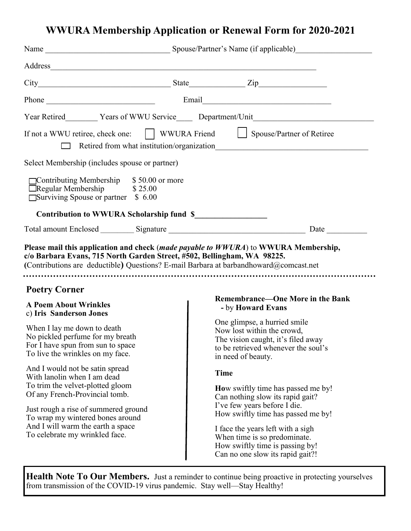# **WWURA Membership Application or Renewal Form for 2020-2021**

| Year Retired ________ Years of WWU Service ______ Department/Unit ______________                                                                                                                                                                                                                                                                                                                                                                          |
|-----------------------------------------------------------------------------------------------------------------------------------------------------------------------------------------------------------------------------------------------------------------------------------------------------------------------------------------------------------------------------------------------------------------------------------------------------------|
| If not a WWU retiree, check one: MWURA Friend   Spouse/Partner of Retiree<br><u> 1980 - Jan Barbara, margaret amerikan basar dan berasal dalam basar dalam basar dalam basar dalam basar dalam </u>                                                                                                                                                                                                                                                       |
|                                                                                                                                                                                                                                                                                                                                                                                                                                                           |
|                                                                                                                                                                                                                                                                                                                                                                                                                                                           |
| Contribution to WWURA Scholarship fund \$                                                                                                                                                                                                                                                                                                                                                                                                                 |
| Date                                                                                                                                                                                                                                                                                                                                                                                                                                                      |
| (Contributions are deductible) Questions? E-mail Barbara at barbandhoward@comcast.net<br>Remembrance—One More in the Bank<br>- by Howard Evans                                                                                                                                                                                                                                                                                                            |
| One glimpse, a hurried smile<br>Now lost within the crowd,<br>The vision caught, it's filed away<br>to be retrieved whenever the soul's<br>in need of beauty.<br>How swiftly time has passed me by!<br>Can nothing slow its rapid gait?<br>I've few years before I die.<br>How swiftly time has passed me by!<br>I face the years left with a sigh<br>When time is so predominate.<br>How swiftly time is passing by!<br>Can no one slow its rapid gait?! |
| <b>Time</b><br><b>Health Note To Our Members.</b> Just a reminder to continue being proactive in protecting vourselves                                                                                                                                                                                                                                                                                                                                    |

Health Note To Our Members. Just a reminder to continue being proactive in protecting yourselves from transmission of the COVID-19 virus pandemic. Stay well—Stay Healthy!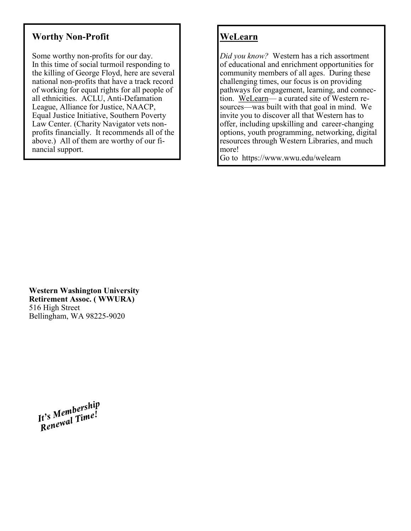## **Worthy Non-Profit**

Some worthy non-profits for our day. In this time of social turmoil responding to the killing of George Floyd, here are several national non-profits that have a track record of working for equal rights for all people of all ethnicities. ACLU, Anti-Defamation League, Alliance for Justice, NAACP, Equal Justice Initiative, Southern Poverty Law Center. (Charity Navigator vets nonprofits financially. It recommends all of the above.) All of them are worthy of our financial support.

## **WeLearn**

*Did you know?* Western has a rich assortment of educational and enrichment opportunities for community members of all ages. During these challenging times, our focus is on providing pathways for engagement, learning, and connection. WeLearn— a curated site of Western resources—was built with that goal in mind. We invite you to discover all that Western has to offer, including upskilling and career-changing options, youth programming, networking, digital resources through Western Libraries, and much more!

Go to https://www.wwu.edu/welearn

**Western Washington University Retirement Assoc. ( WWURA)** 516 High Street Bellingham, WA 98225-9020

It's Membership It's Membership<br>Renewal Time!